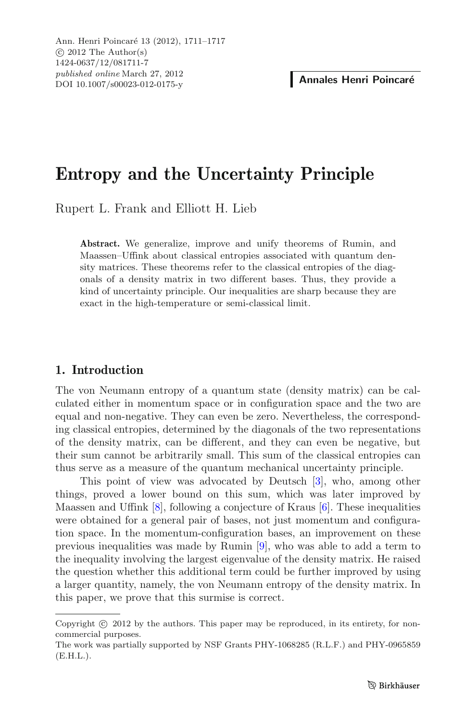# **Entropy and the Uncertainty Principle**

Rupert L. Frank and Elliott H. Lieb

**Abstract.** We generalize, improve and unify theorems of Rumin, and Maassen–Uffink about classical entropies associated with quantum density matrices. These theorems refer to the classical entropies of the diagonals of a density matrix in two different bases. Thus, they provide a kind of uncertainty principle. Our inequalities are sharp because they are exact in the high-temperature or semi-classical limit.

## **1. Introduction**

The von Neumann entropy of a quantum state (density matrix) can be calculated either in momentum space or in configuration space and the two are equal and non-negative. They can even be zero. Nevertheless, the corresponding classical entropies, determined by the diagonals of the two representations of the density matrix, can be different, and they can even be negative, but their sum cannot be arbitrarily small. This sum of the classical entropies can thus serve as a measure of the quantum mechanical uncertainty principle.

This point of view was advocated by Deutsch [\[3](#page-5-0)], who, among other things, proved a lower bound on this sum, which was later improved by Maassen and Uffink [\[8\]](#page-6-0), following a conjecture of Kraus [\[6](#page-5-1)]. These inequalities were obtained for a general pair of bases, not just momentum and configuration space. In the momentum-configuration bases, an improvement on these previous inequalities was made by Rumin [\[9](#page-6-1)], who was able to add a term to the inequality involving the largest eigenvalue of the density matrix. He raised the question whether this additional term could be further improved by using a larger quantity, namely, the von Neumann entropy of the density matrix. In this paper, we prove that this surmise is correct.

Copyright  $\odot$  2012 by the authors. This paper may be reproduced, in its entirety, for noncommercial purposes.

The work was partially supported by NSF Grants PHY-1068285 (R.L.F.) and PHY-0965859 (E.H.L.).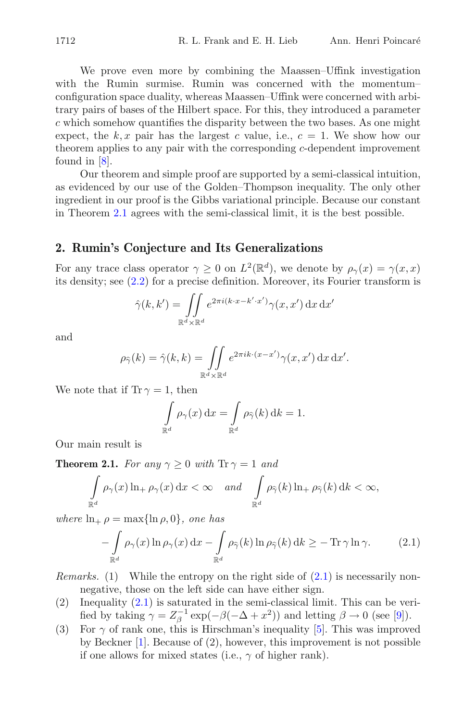We prove even more by combining the Maassen–Uffink investigation with the Rumin surmise. Rumin was concerned with the momentum– configuration space duality, whereas Maassen–Uffink were concerned with arbitrary pairs of bases of the Hilbert space. For this, they introduced a parameter  $c$  which somehow quantifies the disparity between the two bases. As one might expect, the k, x pair has the largest c value, i.e.,  $c = 1$ . We show how our theorem applies to any pair with the corresponding c-dependent improvement found in [\[8](#page-6-0)].

Our theorem and simple proof are supported by a semi-classical intuition, as evidenced by our use of the Golden–Thompson inequality. The only other ingredient in our proof is the Gibbs variational principle. Because our constant in Theorem [2.1](#page-1-0) agrees with the semi-classical limit, it is the best possible.

### **2. Rumin's Conjecture and Its Generalizations**

For any trace class operator  $\gamma \geq 0$  on  $L^2(\mathbb{R}^d)$ , we denote by  $\rho_{\gamma}(x) = \gamma(x, x)$ its density; see [\(2.2\)](#page-2-0) for a precise definition. Moreover, its Fourier transform is

$$
\hat{\gamma}(k, k') = \iint\limits_{\mathbb{R}^d \times \mathbb{R}^d} e^{2\pi i (k \cdot x - k' \cdot x')} \gamma(x, x') \, dx \, dx'
$$

and

$$
\rho_{\widehat{\gamma}}(k) = \widehat{\gamma}(k,k) = \iint\limits_{\mathbb{R}^d \times \mathbb{R}^d} e^{2\pi i k \cdot (x - x')} \gamma(x, x') \, dx \, dx'.
$$

We note that if  $\text{Tr } \gamma = 1$ , then

$$
\int_{\mathbb{R}^d} \rho_\gamma(x) \, \mathrm{d}x = \int_{\mathbb{R}^d} \rho_{\widehat{\gamma}}(k) \, \mathrm{d}k = 1.
$$

<span id="page-1-0"></span>Our main result is

**Theorem 2.1.** *For any*  $\gamma \geq 0$  *with*  $\text{Tr } \gamma = 1$  *and* 

$$
\int_{\mathbb{R}^d} \rho_\gamma(x) \ln_+ \rho_\gamma(x) dx < \infty \quad \text{and} \quad \int_{\mathbb{R}^d} \rho_{\widehat{\gamma}}(k) \ln_+ \rho_{\widehat{\gamma}}(k) dx < \infty,
$$

<span id="page-1-1"></span>*where*  $\ln_+ \rho = \max\{\ln \rho, 0\}$ *, one has* 

$$
-\int_{\mathbb{R}^d} \rho_\gamma(x) \ln \rho_\gamma(x) dx - \int_{\mathbb{R}^d} \rho_{\widehat{\gamma}}(k) \ln \rho_{\widehat{\gamma}}(k) dk \ge -\operatorname{Tr} \gamma \ln \gamma. \tag{2.1}
$$

*Remarks.* (1) While the entropy on the right side of [\(2.1\)](#page-1-1) is necessarily nonnegative, those on the left side can have either sign.

- (2) Inequality  $(2.1)$  is saturated in the semi-classical limit. This can be verified by taking  $\gamma = Z_\beta^{-1} \exp(-\beta(-\Delta + x^2))$  and letting  $\beta \to 0$  (see [\[9](#page-6-1)]).
- (3) For  $\gamma$  of rank one, this is Hirschman's inequality [\[5](#page-5-2)]. This was improved by Beckner [\[1\]](#page-5-3). Because of (2), however, this improvement is not possible if one allows for mixed states (i.e.,  $\gamma$  of higher rank).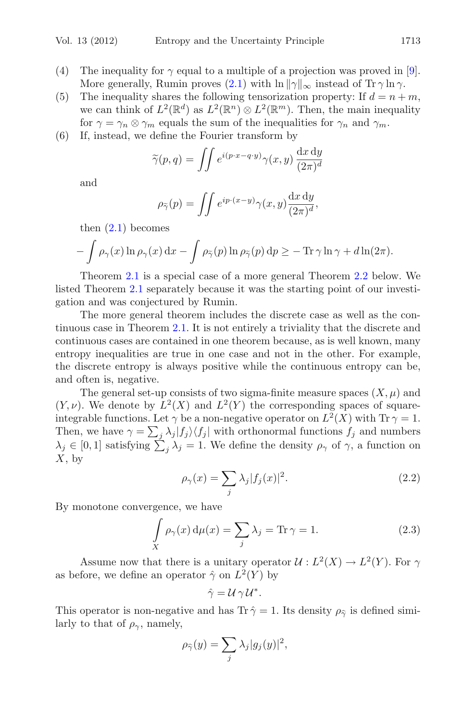- (4) The inequality for  $\gamma$  equal to a multiple of a projection was proved in [\[9\]](#page-6-1). More generally, Rumin proves [\(2.1\)](#page-1-1) with  $\ln ||\gamma||_{\infty}$  instead of  $\text{Tr }\gamma \ln \gamma$ .
- (5) The inequality shares the following tensorization property: If  $d = n + m$ , we can think of  $L^2(\mathbb{R}^d)$  as  $L^2(\mathbb{R}^n) \otimes L^2(\mathbb{R}^m)$ . Then, the main inequality for  $\gamma = \gamma_n \otimes \gamma_m$  equals the sum of the inequalities for  $\gamma_n$  and  $\gamma_m$ .
- (6) If, instead, we define the Fourier transform by

$$
\widetilde{\gamma}(p,q) = \iint e^{i(p \cdot x - q \cdot y)} \gamma(x,y) \frac{\mathrm{d}x \, \mathrm{d}y}{(2\pi)^d}
$$

and

$$
\rho_{\widetilde{\gamma}}(p) = \iint e^{ip \cdot (x-y)} \gamma(x, y) \frac{\mathrm{d}x \, \mathrm{d}y}{(2\pi)^d},
$$

then  $(2.1)$  becomes

$$
- \int \rho_{\gamma}(x) \ln \rho_{\gamma}(x) dx - \int \rho_{\widetilde{\gamma}}(p) \ln \rho_{\widetilde{\gamma}}(p) dp \geq - \operatorname{Tr} \gamma \ln \gamma + d \ln(2\pi).
$$

Theorem [2.1](#page-1-0) is a special case of a more general Theorem [2.2](#page-3-0) below. We listed Theorem [2.1](#page-1-0) separately because it was the starting point of our investigation and was conjectured by Rumin.

The more general theorem includes the discrete case as well as the continuous case in Theorem [2.1.](#page-1-0) It is not entirely a triviality that the discrete and continuous cases are contained in one theorem because, as is well known, many entropy inequalities are true in one case and not in the other. For example, the discrete entropy is always positive while the continuous entropy can be, and often is, negative.

The general set-up consists of two sigma-finite measure spaces  $(X, \mu)$  and  $(Y, \nu)$ . We denote by  $L^2(X)$  and  $L^2(Y)$  the corresponding spaces of squareintegrable functions. Let  $\gamma$  be a non-negative operator on  $L^2(X)$  with  $\text{Tr } \gamma = 1$ . Then, we have  $\gamma = \sum_j \lambda_j |f_j\rangle \langle f_j|$  with orthonormal functions  $f_j$  and numbers  $\lambda_j \in [0,1]$  satisfying  $\sum_j \lambda_j = 1$ . We define the density  $\rho_\gamma$  of  $\gamma$ , a function on  $X$ , by

$$
\rho_{\gamma}(x) = \sum_{j} \lambda_j |f_j(x)|^2. \tag{2.2}
$$

<span id="page-2-1"></span><span id="page-2-0"></span>By monotone convergence, we have

$$
\int_{X} \rho_{\gamma}(x) d\mu(x) = \sum_{j} \lambda_{j} = \text{Tr}\,\gamma = 1.
$$
\n(2.3)

Assume now that there is a unitary operator  $\mathcal{U}: L^2(X) \to L^2(Y)$ . For  $\gamma$ as before, we define an operator  $\hat{\gamma}$  on  $L^2(Y)$  by

$$
\hat{\gamma} = \mathcal{U} \gamma \mathcal{U}^*.
$$

This operator is non-negative and has Tr  $\hat{\gamma} = 1$ . Its density  $\rho_{\hat{\gamma}}$  is defined similarly to that of  $\rho_{\gamma}$ , namely,

$$
\rho_{\widehat{\gamma}}(y) = \sum_j \lambda_j |g_j(y)|^2,
$$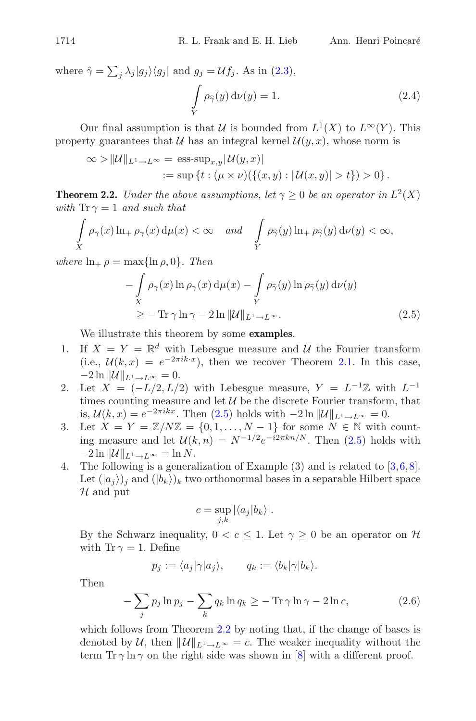<span id="page-3-3"></span>where  $\hat{\gamma} = \sum_{j} \lambda_j |g_j\rangle\langle g_j|$  and  $g_j = \mathcal{U}f_j$ . As in [\(2.3\)](#page-2-1), -  $\int_{Y} \rho_{\hat{\gamma}}(y) d\nu(y) = 1.$  (2.4)

Our final assumption is that U is bounded from  $L^1(X)$  to  $L^{\infty}(Y)$ . This property guarantees that U has an integral kernel  $\mathcal{U}(y, x)$ , whose norm is

$$
\infty > ||\mathcal{U}||_{L^1 \to L^\infty} = \text{ess-sup}_{x,y} |\mathcal{U}(y,x)|
$$
  
 := sup {t : (\mu \times \nu)(\{(x,y) : |U(x,y)| > t\}) > 0}.

<span id="page-3-0"></span>**Theorem 2.2.** *Under the above assumptions, let*  $\gamma > 0$  *be an operator in*  $L^2(X)$ *with*  $\text{Tr } \gamma = 1$  *and such that* 

$$
\int\limits_X \rho_\gamma(x) \ln_+ \rho_\gamma(x) d\mu(x) < \infty \quad and \quad \int\limits_Y \rho_{\widehat{\gamma}}(y) \ln_+ \rho_{\widehat{\gamma}}(y) d\nu(y) < \infty,
$$

<span id="page-3-1"></span>*where*  $\ln_{+} \rho = \max\{\ln \rho, 0\}$ *. Then* 

$$
-\int_{X} \rho_{\gamma}(x) \ln \rho_{\gamma}(x) d\mu(x) - \int_{Y} \rho_{\hat{\gamma}}(y) \ln \rho_{\hat{\gamma}}(y) d\nu(y)
$$
  
 
$$
\geq - \operatorname{Tr} \gamma \ln \gamma - 2 \ln ||\mathcal{U}||_{L^{1} \to L^{\infty}}.
$$
 (2.5)

We illustrate this theorem by some **examples**.

- 1. If  $X = Y = \mathbb{R}^d$  with Lebesgue measure and U the Fourier transform (i.e.,  $\mathcal{U}(k, x) = e^{-2\pi i k \cdot x}$ ), then we recover Theorem [2.1.](#page-1-0) In this case,  $-2 \ln ||\mathcal{U}||_{L^1 \to L^\infty} = 0.$
- 2. Let  $\ddot{X} = (-L/2, L/2)$  with Lebesgue measure,  $Y = L^{-1}\mathbb{Z}$  with  $L^{-1}$ times counting measure and let  $U$  be the discrete Fourier transform, that is,  $\mathcal{U}(k, x) = e^{-2\pi i k x}$ . Then [\(2.5\)](#page-3-1) holds with  $-2 \ln ||\mathcal{U}||_{L^1 \to L^\infty} = 0$ .
- 3. Let  $X = Y = \mathbb{Z}/N\mathbb{Z} = \{0, 1, \ldots, N-1\}$  for some  $N \in \mathbb{N}$  with counting measure and let  $\mathcal{U}(k,n) = N^{-1/2}e^{-i2\pi kn/N}$ . Then [\(2.5\)](#page-3-1) holds with  $-2 \ln \| \mathcal{U} \|_{L^1 \to L^\infty} = \ln N.$
- 4. The following is a generalization of Example  $(3)$  and is related to  $[3,6,8]$  $[3,6,8]$  $[3,6,8]$  $[3,6,8]$ . Let  $(|a_j\rangle)_j$  and  $(|b_k\rangle)_k$  two orthonormal bases in a separable Hilbert space  ${\mathcal H}$  and put

$$
c = \sup_{j,k} |\langle a_j | b_k \rangle|.
$$

By the Schwarz inequality,  $0 < c \leq 1$ . Let  $\gamma \geq 0$  be an operator on  $\mathcal{H}$ with Tr  $\gamma = 1$ . Define

$$
p_j := \langle a_j | \gamma | a_j \rangle, \qquad q_k := \langle b_k | \gamma | b_k \rangle.
$$

<span id="page-3-2"></span>Then

$$
-\sum_{j} p_j \ln p_j - \sum_{k} q_k \ln q_k \geq -\operatorname{Tr} \gamma \ln \gamma - 2 \ln c,\tag{2.6}
$$

which follows from Theorem [2.2](#page-3-0) by noting that, if the change of bases is denoted by U, then  $||U||_{L^1 \to L^{\infty}} = c$ . The weaker inequality without the term  $\text{Tr } \gamma \ln \gamma$  on the right side was shown in [\[8\]](#page-6-0) with a different proof.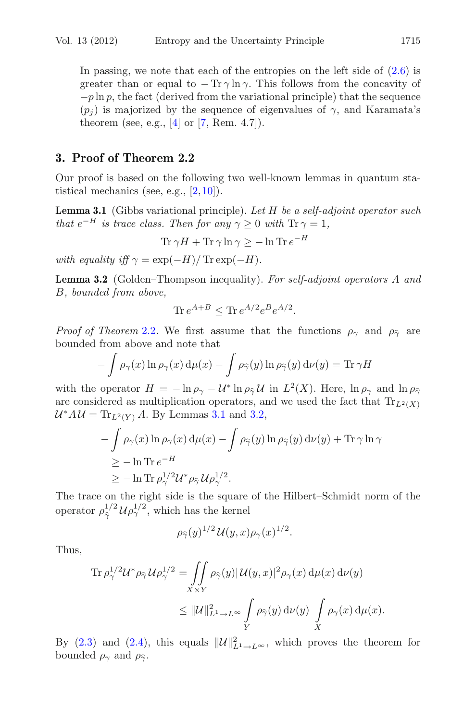In passing, we note that each of the entropies on the left side of  $(2.6)$  is greater than or equal to  $-\text{Tr }\gamma \ln \gamma$ . This follows from the concavity of  $-p \ln p$ , the fact (derived from the variational principle) that the sequence  $(p_i)$  is majorized by the sequence of eigenvalues of  $\gamma$ , and Karamata's theorem (see, e.g.,  $[4]$  $[4]$  or [\[7](#page-6-2), Rem. 4.7]).

## **3. Proof of Theorem 2.2**

<span id="page-4-0"></span>Our proof is based on the following two well-known lemmas in quantum statistical mechanics (see, e.g.,  $[2,10]$  $[2,10]$  $[2,10]$ ).

**Lemma 3.1** (Gibbs variational principle). *Let* H *be a self-adjoint operator such that*  $e^{-H}$  *is trace class. Then for any*  $\gamma \geq 0$  *with*  $\text{Tr } \gamma = 1$ *,* 

$$
\operatorname{Tr} \gamma H + \operatorname{Tr} \gamma \ln \gamma \ge -\ln \operatorname{Tr} e^{-H}
$$

<span id="page-4-1"></span>*with equality iff*  $\gamma = \exp(-H)/\text{Tr} \exp(-H)$ .

**Lemma 3.2** (Golden–Thompson inequality). *For self-adjoint operators* A *and* B*, bounded from above,*

$$
\text{Tr}\,e^{A+B}\leq\text{Tr}\,e^{A/2}e^{B}e^{A/2}.
$$

*Proof of Theorem* [2.2](#page-3-0). We first assume that the functions  $\rho_{\gamma}$  and  $\rho_{\hat{\gamma}}$  are bounded from above and note that

$$
- \int \rho_{\gamma}(x) \ln \rho_{\gamma}(x) d\mu(x) - \int \rho_{\widehat{\gamma}}(y) \ln \rho_{\widehat{\gamma}}(y) d\nu(y) = \text{Tr} \gamma H
$$

with the operator  $H = -\ln \rho_{\gamma} - \mathcal{U}^* \ln \rho_{\hat{\gamma}} \mathcal{U}$  in  $L^2(X)$ . Here,  $\ln \rho_{\gamma}$  and  $\ln \rho_{\hat{\gamma}}$ are considered as multiplication operators, and we used the fact that  $\text{Tr}_{L^2(X)}$  $\mathcal{U}^* A \mathcal{U} = \text{Tr}_{L^2(Y)} A$ . By Lemmas [3.1](#page-4-0) and [3.2,](#page-4-1)

$$
-\int \rho_{\gamma}(x) \ln \rho_{\gamma}(x) d\mu(x) - \int \rho_{\hat{\gamma}}(y) \ln \rho_{\hat{\gamma}}(y) d\nu(y) + \text{Tr} \gamma \ln \gamma
$$
  
\n
$$
\geq -\ln \text{Tr} e^{-H}
$$
  
\n
$$
\geq -\ln \text{Tr} \rho_{\gamma}^{1/2} \mathcal{U}^* \rho_{\hat{\gamma}} \mathcal{U} \rho_{\gamma}^{1/2}.
$$

The trace on the right side is the square of the Hilbert–Schmidt norm of the operator  $\rho_{\hat{\gamma}}^{1/2} \mathcal{U} \rho_{\gamma}^{1/2}$ , which has the kernel

$$
\rho_{\widehat{\gamma}}(y)^{1/2} \mathcal{U}(y,x) \rho_{\gamma}(x)^{1/2}.
$$

Thus,

$$
\begin{split} \text{Tr}\, \rho_\gamma^{1/2} \mathcal{U}^* \rho_{\widehat{\gamma}} \, \mathcal{U} \rho_\gamma^{1/2} &= \iint\limits_{X \times Y} \rho_{\widehat{\gamma}}(y) |\, \mathcal{U}(y,x)|^2 \rho_\gamma(x) \, \mathrm{d}\mu(x) \, \mathrm{d}\nu(y) \\ &\leq \|\mathcal{U}\|_{L^1 \to L^\infty}^2 \int\limits_Y \rho_{\widehat{\gamma}}(y) \, \mathrm{d}\nu(y) \, \int\limits_X \rho_\gamma(x) \, \mathrm{d}\mu(x). \end{split}
$$

By [\(2.3\)](#page-2-1) and [\(2.4\)](#page-3-3), this equals  $||\mathcal{U}||_{L^1 \to L^{\infty}}^2$ , which proves the theorem for bounded  $\rho_{\gamma}$  and  $\rho_{\hat{\gamma}}$ .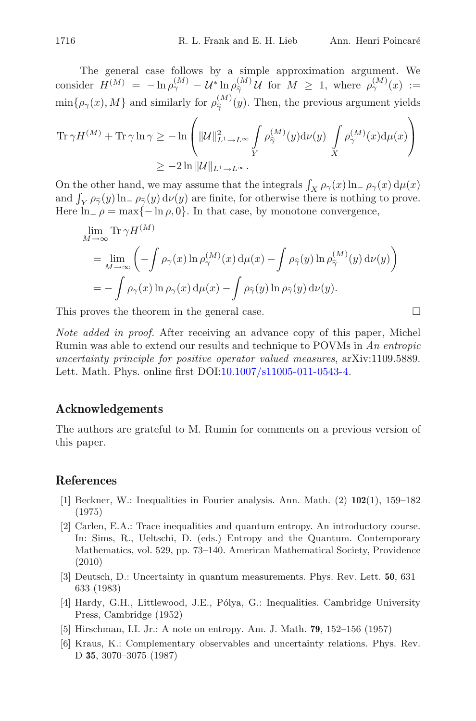The general case follows by a simple approximation argument. We consider 
$$
H^{(M)} = -\ln \rho_{\gamma}^{(M)} - \mathcal{U}^* \ln \rho_{\hat{\gamma}}^{(M)} \mathcal{U}
$$
 for  $M \geq 1$ , where  $\rho_{\gamma}^{(M)}(x) := \min{\{\rho_{\gamma}(x), M\}}$  and similarly for  $\rho_{\hat{\gamma}}^{(M)}(y)$ . Then, the previous argument yields

$$
\operatorname{Tr} \gamma H^{(M)} + \operatorname{Tr} \gamma \ln \gamma \ge -\ln \left( \|\mathcal{U}\|_{L^1 \to L^\infty}^2 \int_Y \rho_{\widehat{\gamma}}^{(M)}(y) \mathrm{d} \nu(y) \int_X \rho_{\gamma}^{(M)}(x) \mathrm{d} \mu(x) \right)
$$
  

$$
\ge -2 \ln \|\mathcal{U}\|_{L^1 \to L^\infty}.
$$

On the other hand, we may assume that the integrals  $\int_X \rho_\gamma(x) \ln \rho_\gamma(x) d\mu(x)$ and  $\int_Y \rho_{\hat{\gamma}}(y) \ln \rho_{\hat{\gamma}}(y) d\nu(y)$  are finite, for otherwise there is nothing to prove. Here  $\ln \rho = \max\{-\ln \rho, 0\}$ . In that case, by monotone convergence,

$$
\lim_{M \to \infty} \text{Tr } \gamma H^{(M)} \n= \lim_{M \to \infty} \left( - \int \rho_{\gamma}(x) \ln \rho_{\gamma}^{(M)}(x) d\mu(x) - \int \rho_{\widehat{\gamma}}(y) \ln \rho_{\widehat{\gamma}}^{(M)}(y) d\nu(y) \right) \n= - \int \rho_{\gamma}(x) \ln \rho_{\gamma}(x) d\mu(x) - \int \rho_{\widehat{\gamma}}(y) \ln \rho_{\widehat{\gamma}}(y) d\nu(y).
$$

This proves the theorem in the general case.  $\Box$ 

*Note added in proof.* After receiving an advance copy of this paper, Michel Rumin was able to extend our results and technique to POVMs in *An entropic uncertainty principle for positive operator valued measures*, arXiv:1109.5889. Lett. Math. Phys. online first DOI[:10.1007/s11005-011-0543-4.](http://dx.doi.org/10.1007/s11005-011-0543-4)

### **Acknowledgements**

The authors are grateful to M. Rumin for comments on a previous version of this paper.

### <span id="page-5-3"></span>**References**

- [1] Beckner, W.: Inequalities in Fourier analysis. Ann. Math. (2) **102**(1), 159–182 (1975)
- <span id="page-5-5"></span>[2] Carlen, E.A.: Trace inequalities and quantum entropy. An introductory course. In: Sims, R., Ueltschi, D. (eds.) Entropy and the Quantum. Contemporary Mathematics, vol. 529, pp. 73–140. American Mathematical Society, Providence (2010)
- <span id="page-5-0"></span>[3] Deutsch, D.: Uncertainty in quantum measurements. Phys. Rev. Lett. **50**, 631– 633 (1983)
- <span id="page-5-4"></span>[4] Hardy, G.H., Littlewood, J.E., P´olya, G.: Inequalities. Cambridge University Press, Cambridge (1952)
- <span id="page-5-2"></span>[5] Hirschman, I.I. Jr.: A note on entropy. Am. J. Math. **79**, 152–156 (1957)
- <span id="page-5-1"></span>[6] Kraus, K.: Complementary observables and uncertainty relations. Phys. Rev. D **35**, 3070–3075 (1987)